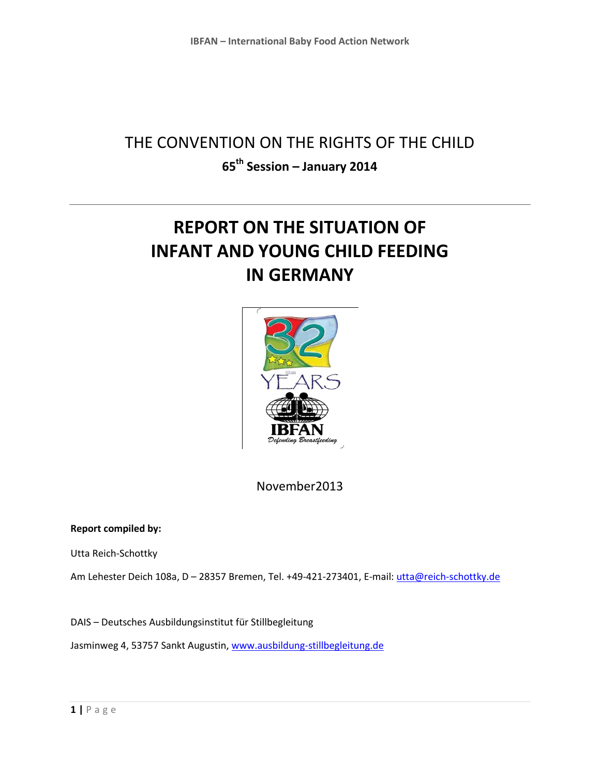## THE CONVENTION ON THE RIGHTS OF THE CHILD **65th Session – January 2014**

# **REPORT ON THE SITUATION OF INFANT AND YOUNG CHILD FEEDING IN GERMANY**



November2013

## **Report compiled by:**

Utta Reich-Schottky

Am Lehester Deich 108a, D - 28357 Bremen, Tel. +49-421-273401, E-mail[: utta@reich-schottky.de](mailto:utta@reich-schottky.de)

DAIS – Deutsches Ausbildungsinstitut für Stillbegleitung Jasminweg 4, 53757 Sankt Augustin, [www.ausbildung-stillbegleitung.de](http://www.ausbildung-stillbegleitung.de/)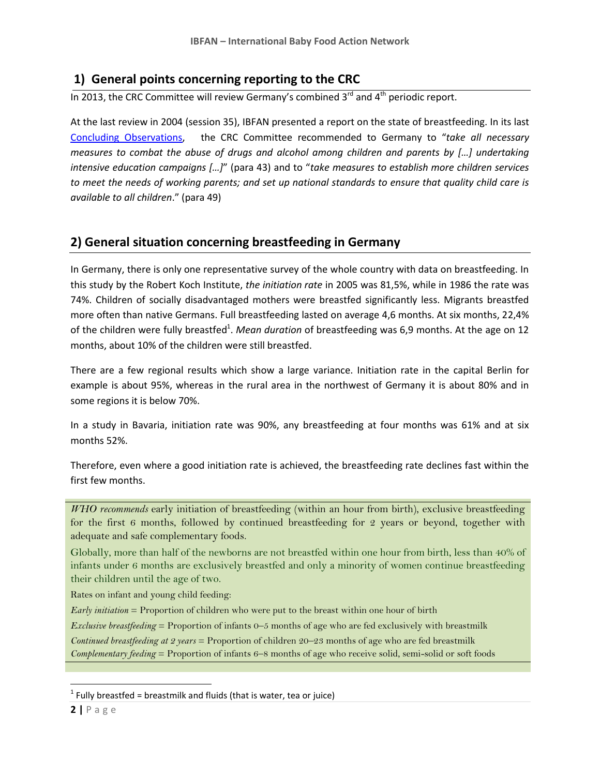## **1) General points concerning reporting to the CRC**

In 2013, the CRC Committee will review Germany's combined  $3<sup>rd</sup>$  and  $4<sup>th</sup>$  periodic report.

At the last review in 2004 (session 35), IBFAN presented a report on the state of breastfeeding. In its last [Concluding Observations,](http://daccess-dds-ny.un.org/doc/UNDOC/GEN/G04/405/24/PDF/G0440524.pdf?OpenElement) the CRC Committee recommended to Germany to "*take all necessary measures to combat the abuse of drugs and alcohol among children and parents by […] undertaking intensive education campaigns […]*" (para 43) and to "*take measures to establish more children services to meet the needs of working parents; and set up national standards to ensure that quality child care is available to all children*." (para 49)

## **2) General situation concerning breastfeeding in Germany**

In Germany, there is only one representative survey of the whole country with data on breastfeeding. In this study by the Robert Koch Institute, *the initiation rate* in 2005 was 81,5%, while in 1986 the rate was 74%. Children of socially disadvantaged mothers were breastfed significantly less. Migrants breastfed more often than native Germans. Full breastfeeding lasted on average 4,6 months. At six months, 22,4% of the children were fully breastfed<sup>1</sup>. Mean duration of breastfeeding was 6,9 months. At the age on 12 months, about 10% of the children were still breastfed.

There are a few regional results which show a large variance. Initiation rate in the capital Berlin for example is about 95%, whereas in the rural area in the northwest of Germany it is about 80% and in some regions it is below 70%.

In a study in Bavaria, initiation rate was 90%, any breastfeeding at four months was 61% and at six months 52%.

Therefore, even where a good initiation rate is achieved, the breastfeeding rate declines fast within the first few months.

*WHO recommends* early initiation of breastfeeding (within an hour from birth), exclusive breastfeeding for the first 6 months, followed by continued breastfeeding for 2 years or beyond, together with adequate and safe complementary foods.

Globally, more than half of the newborns are not breastfed within one hour from birth, less than 40% of infants under 6 months are exclusively breastfed and only a minority of women continue breastfeeding their children until the age of two.

Rates on infant and young child feeding:

*Early initiation* = Proportion of children who were put to the breast within one hour of birth

*Exclusive breastfeeding* = Proportion of infants 0–5 months of age who are fed exclusively with breastmilk

*Continued breastfeeding at 2 years* = Proportion of children 20–23 months of age who are fed breastmilk *Complementary feeding* = Proportion of infants 6–8 months of age who receive solid, semi-solid or soft foods

 $\overline{\phantom{a}}$ 

 $<sup>1</sup>$  Fully breastfed = breastmilk and fluids (that is water, tea or juice)</sup>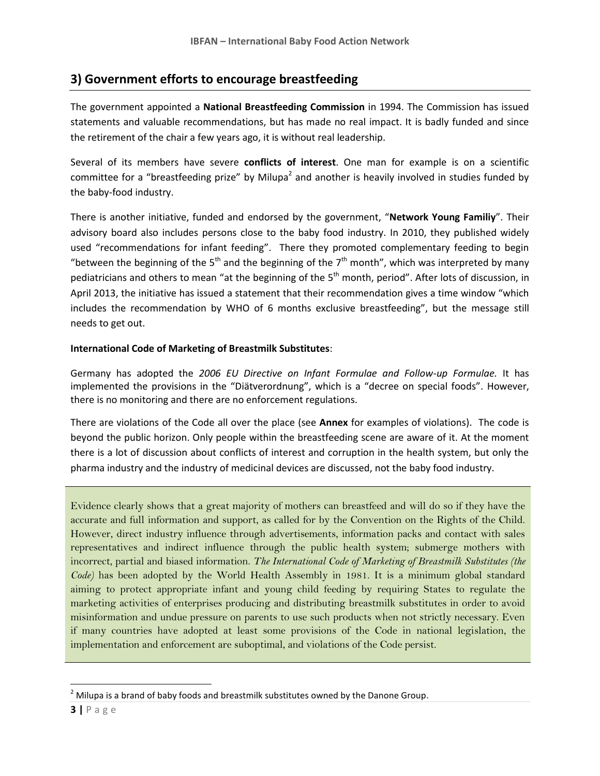## **3) Government efforts to encourage breastfeeding**

The government appointed a **National Breastfeeding Commission** in 1994. The Commission has issued statements and valuable recommendations, but has made no real impact. It is badly funded and since the retirement of the chair a few years ago, it is without real leadership.

Several of its members have severe **conflicts of interest**. One man for example is on a scientific committee for a "breastfeeding prize" by Milupa<sup>2</sup> and another is heavily involved in studies funded by the baby-food industry.

There is another initiative, funded and endorsed by the government, "**Network Young Familiy**". Their advisory board also includes persons close to the baby food industry. In 2010, they published widely used "recommendations for infant feeding". There they promoted complementary feeding to begin "between the beginning of the 5<sup>th</sup> and the beginning of the 7<sup>th</sup> month", which was interpreted by many pediatricians and others to mean "at the beginning of the 5<sup>th</sup> month, period". After lots of discussion, in April 2013, the initiative has issued a statement that their recommendation gives a time window "which includes the recommendation by WHO of 6 months exclusive breastfeeding", but the message still needs to get out.

#### **International Code of Marketing of Breastmilk Substitutes**:

Germany has adopted the *2006 EU Directive on Infant Formulae and Follow-up Formulae.* It has implemented the provisions in the "Diätverordnung", which is a "decree on special foods". However, there is no monitoring and there are no enforcement regulations.

There are violations of the Code all over the place (see **Annex** for examples of violations). The code is beyond the public horizon. Only people within the breastfeeding scene are aware of it. At the moment there is a lot of discussion about conflicts of interest and corruption in the health system, but only the pharma industry and the industry of medicinal devices are discussed, not the baby food industry.

Evidence clearly shows that a great majority of mothers can breastfeed and will do so if they have the accurate and full information and support, as called for by the Convention on the Rights of the Child. However, direct industry influence through advertisements, information packs and contact with sales representatives and indirect influence through the public health system; submerge mothers with incorrect, partial and biased information. *The International Code of Marketing of Breastmilk Substitutes (the Code)* has been adopted by the World Health Assembly in 1981. It is a minimum global standard aiming to protect appropriate infant and young child feeding by requiring States to regulate the marketing activities of enterprises producing and distributing breastmilk substitutes in order to avoid misinformation and undue pressure on parents to use such products when not strictly necessary. Even if many countries have adopted at least some provisions of the Code in national legislation, the implementation and enforcement are suboptimal, and violations of the Code persist.

 $\overline{\phantom{a}}$ 

 $2$  Milupa is a brand of baby foods and breastmilk substitutes owned by the Danone Group.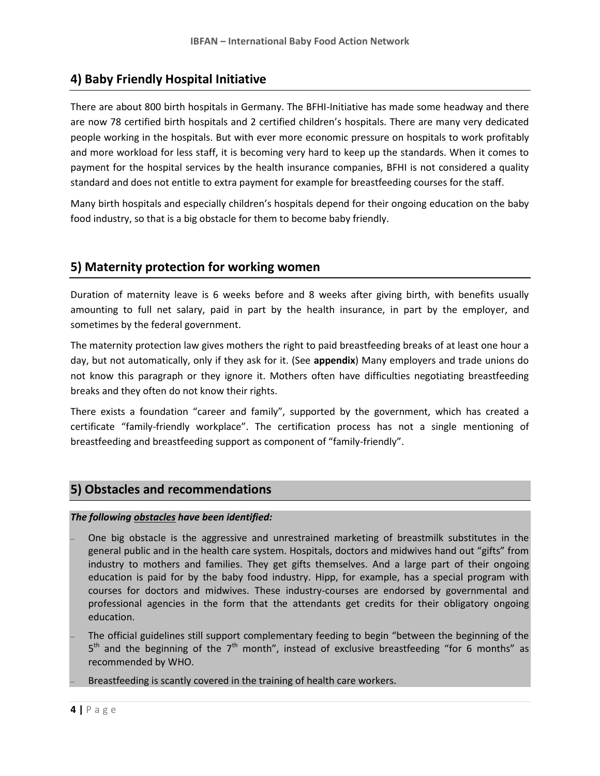## **4) Baby Friendly Hospital Initiative**

There are about 800 birth hospitals in Germany. The BFHI-Initiative has made some headway and there are now 78 certified birth hospitals and 2 certified children's hospitals. There are many very dedicated people working in the hospitals. But with ever more economic pressure on hospitals to work profitably and more workload for less staff, it is becoming very hard to keep up the standards. When it comes to payment for the hospital services by the health insurance companies, BFHI is not considered a quality standard and does not entitle to extra payment for example for breastfeeding courses for the staff.

Many birth hospitals and especially children's hospitals depend for their ongoing education on the baby food industry, so that is a big obstacle for them to become baby friendly.

## **5) Maternity protection for working women**

Duration of maternity leave is 6 weeks before and 8 weeks after giving birth, with benefits usually amounting to full net salary, paid in part by the health insurance, in part by the employer, and sometimes by the federal government.

The maternity protection law gives mothers the right to paid breastfeeding breaks of at least one hour a day, but not automatically, only if they ask for it. (See **appendix**) Many employers and trade unions do not know this paragraph or they ignore it. Mothers often have difficulties negotiating breastfeeding breaks and they often do not know their rights.

There exists a foundation "career and family", supported by the government, which has created a certificate "family-friendly workplace". The certification process has not a single mentioning of breastfeeding and breastfeeding support as component of "family-friendly".

## **5) Obstacles and recommendations**

## *The following obstacles have been identified:*

- One big obstacle is the aggressive and unrestrained marketing of breastmilk substitutes in the general public and in the health care system. Hospitals, doctors and midwives hand out "gifts" from industry to mothers and families. They get gifts themselves. And a large part of their ongoing education is paid for by the baby food industry. Hipp, for example, has a special program with courses for doctors and midwives. These industry-courses are endorsed by governmental and professional agencies in the form that the attendants get credits for their obligatory ongoing education.
- The official guidelines still support complementary feeding to begin "between the beginning of the 5<sup>th</sup> and the beginning of the 7<sup>th</sup> month", instead of exclusive breastfeeding "for 6 months" as recommended by WHO.

Breastfeeding is scantly covered in the training of health care workers.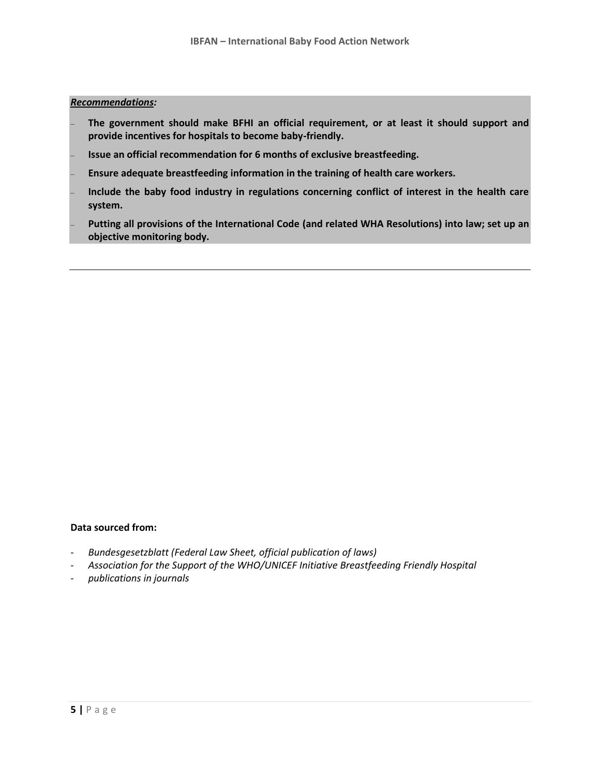#### *Recommendations:*

- **The government should make BFHI an official requirement, or at least it should support and provide incentives for hospitals to become baby-friendly.**
- **Issue an official recommendation for 6 months of exclusive breastfeeding.**
- **Ensure adequate breastfeeding information in the training of health care workers.**
- **Include the baby food industry in regulations concerning conflict of interest in the health care system.**
- **Putting all provisions of the International Code (and related WHA Resolutions) into law; set up an objective monitoring body.**

#### **Data sourced from:**

- *Bundesgesetzblatt (Federal Law Sheet, official publication of laws)*
- *Association for the Support of the WHO/UNICEF Initiative Breastfeeding Friendly Hospital*
- *publications in journals*